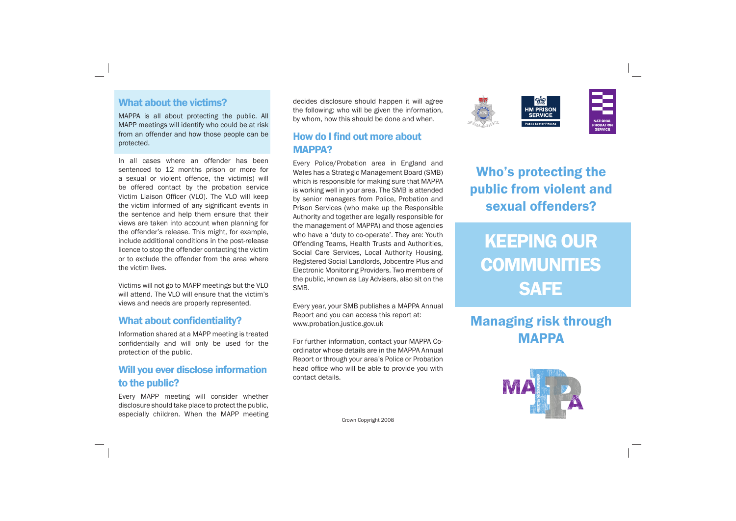### What about the victims?

MAPPA is all about protecting the public. All MAPP meetings will identify who could be at risk from an offender and how those people can be protected.

In all cases where an offender has been sentenced to 12 months prison or more for a sexual or violent offence, the victim(s) will be offered contact by the probation service Victim Liaison Officer (VLO). The VLO will keep the victim informed of any significant events in the sentence and help them ensure that their views are taken into account when planning for the offender's release. This might, for example, include additional conditions in the post-release licence to stop the offender contacting the victim or to exclude the offender from the area where the victim lives.

### How do I find out more about MAPPA?

Victims will not go to MAPP meetings but the VLO will attend. The VLO will ensure that the victim's views and needs are properly represented.

#### What about confidentiality?

Information shared at a MAPP meeting is treated confidentially and will only be used for the protection of the public.

### Will you ever disclose information to the public?

Every MAPP meeting will consider whether disclosure should take place to protect the public, especially children. When the MAPP meeting decides disclosure should happen it will agree the following: who will be given the information, by whom, how this should be done and when.

Every Police/Probation area in England and Wales has a Strategic Management Board (SMB) which is responsible for making sure that MAPPA is working well in your area. The SMB is attended by senior managers from Police, Probation and Prison Services (who make up the Responsible Authority and together are legally responsible for the management of MAPPA) and those agencies who have a 'duty to co-operate'. They are: Youth Offending Teams, Health Trusts and Authorities, Social Care Services, Local Authority Housing, Registered Social Landlords, Jobcentre Plus and Electronic Monitoring Providers. Two members of the public, known as Lay Advisers, also sit on the SMB.

Every year, your SMB publishes a MAPPA Annual Report and you can access this report at: www.probation.justice.gov.uk

For further information, contact your MAPPA Coordinator whose details are in the MAPPA Annual Report or through your area's Police or Probation head office who will be able to provide you with contact details.

Crown Copyright 2008



# Who's protecting the public from violent and sexual offenders?

# KEEPING OUR **COMMUNITIES** SAFE

# Managing risk through MAPPA